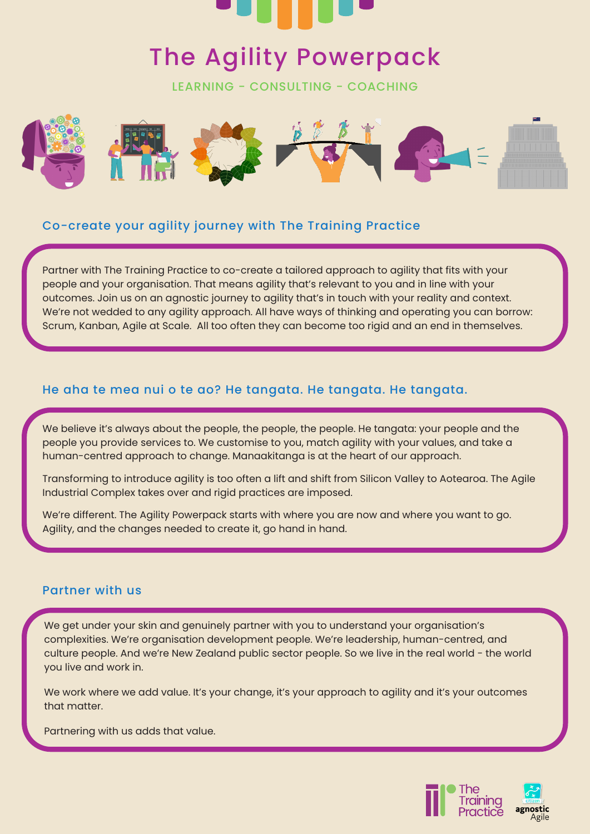

# The Agility Powerpack

LEARNING - CONSULTING - COACHING



### Co-create your agility journey with The Training Practice

Partner with The Training Practice to co-create a tailored approach to agility that fits with your people and your organisation. That means agility that's relevant to you and in line with your outcomes. Join us on an agnostic journey to agility that's in touch with your reality and context. We're not wedded to any agility approach. All have ways of thinking and operating you can borrow: Scrum, Kanban, Agile at Scale. All too often they can become too rigid and an end in themselves.

#### He aha te mea nui o te ao? He tangata. He tangata. He tangata.

We believe it's always about the people, the people, the people. He tangata: your people and the people you provide services to. We customise to you, match agility with your values, and take a human-centred approach to change. Manaakitanga is at the heart of our approach.

Transforming to introduce agility is too often a lift and shift from Silicon Valley to Aotearoa. The Agile Industrial Complex takes over and rigid practices are imposed.

We're different. The Agility Powerpack starts with where you are now and where you want to go. Agility, and the changes needed to create it, go hand in hand.

#### Partner with us

We get under your skin and genuinely partner with you to understand your organisation's complexities. We're organisation development people. We're leadership, human-centred, and culture people. And we're New Zealand public sector people. So we live in the real world - the world you live and work in.

We work where we add value. It's your change, it's your approach to agility and it's your outcomes that matter.

Partnering with us adds that value.